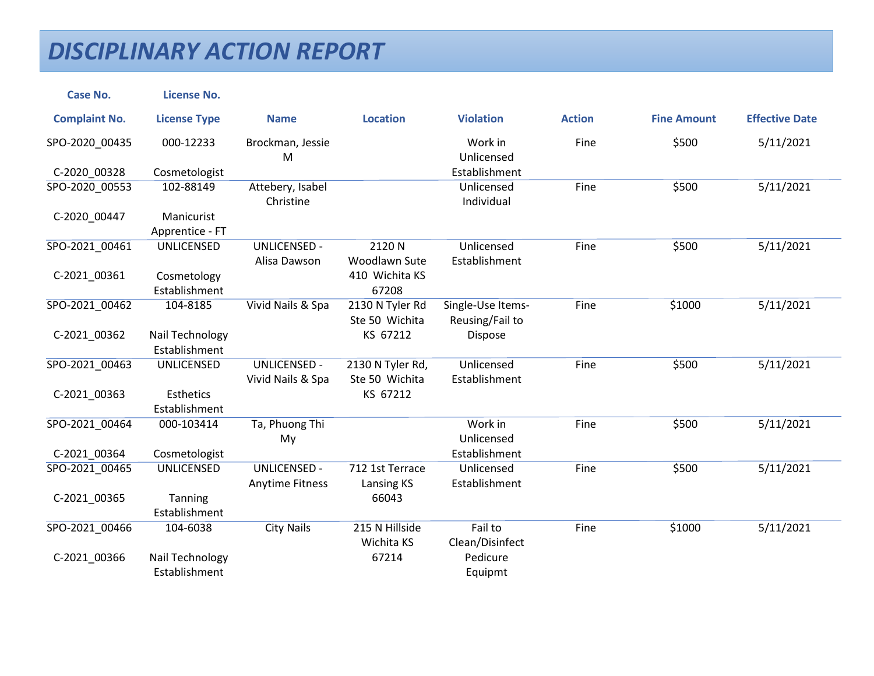| <b>Case No.</b>                | <b>License No.</b>                |                                               |                                           |                                      |               |                    |                       |
|--------------------------------|-----------------------------------|-----------------------------------------------|-------------------------------------------|--------------------------------------|---------------|--------------------|-----------------------|
| <b>Complaint No.</b>           | <b>License Type</b>               | <b>Name</b>                                   | <b>Location</b>                           | <b>Violation</b>                     | <b>Action</b> | <b>Fine Amount</b> | <b>Effective Date</b> |
| SPO-2020_00435                 | 000-12233                         | Brockman, Jessie<br>M                         |                                           | Work in<br>Unlicensed                | Fine          | \$500              | 5/11/2021             |
| C-2020_00328                   | Cosmetologist                     |                                               |                                           | Establishment                        |               |                    |                       |
| SPO-2020_00553                 | 102-88149                         | Attebery, Isabel<br>Christine                 |                                           | Unlicensed<br>Individual             | Fine          | \$500              | 5/11/2021             |
| C-2020 00447                   | Manicurist<br>Apprentice - FT     |                                               |                                           |                                      |               |                    |                       |
| SPO-2021_00461<br>C-2021_00361 | <b>UNLICENSED</b><br>Cosmetology  | <b>UNLICENSED -</b><br>Alisa Dawson           | 2120 N<br>Woodlawn Sute<br>410 Wichita KS | Unlicensed<br>Establishment          | Fine          | \$500              | 5/11/2021             |
|                                | Establishment                     |                                               | 67208                                     |                                      |               |                    |                       |
| SPO-2021 00462                 | 104-8185                          | Vivid Nails & Spa                             | 2130 N Tyler Rd<br>Ste 50 Wichita         | Single-Use Items-<br>Reusing/Fail to | Fine          | \$1000             | 5/11/2021             |
| C-2021 00362                   | Nail Technology<br>Establishment  |                                               | KS 67212                                  | Dispose                              |               |                    |                       |
| SPO-2021_00463                 | <b>UNLICENSED</b>                 | <b>UNLICENSED -</b><br>Vivid Nails & Spa      | 2130 N Tyler Rd,<br>Ste 50 Wichita        | Unlicensed<br>Establishment          | Fine          | \$500              | 5/11/2021             |
| C-2021_00363                   | <b>Esthetics</b><br>Establishment |                                               | KS 67212                                  |                                      |               |                    |                       |
| SPO-2021_00464                 | 000-103414                        | Ta, Phuong Thi<br>My                          |                                           | Work in<br>Unlicensed                | Fine          | \$500              | 5/11/2021             |
| C-2021 00364                   | Cosmetologist                     |                                               |                                           | Establishment                        |               |                    |                       |
| SPO-2021 00465                 | <b>UNLICENSED</b>                 | <b>UNLICENSED -</b><br><b>Anytime Fitness</b> | 712 1st Terrace<br>Lansing KS             | Unlicensed<br>Establishment          | Fine          | \$500              | 5/11/2021             |
| C-2021_00365                   | Tanning<br>Establishment          |                                               | 66043                                     |                                      |               |                    |                       |
| SPO-2021 00466                 | 104-6038                          | <b>City Nails</b>                             | 215 N Hillside<br>Wichita KS              | Fail to<br>Clean/Disinfect           | Fine          | \$1000             | 5/11/2021             |
| C-2021_00366                   | Nail Technology<br>Establishment  |                                               | 67214                                     | Pedicure<br>Equipmt                  |               |                    |                       |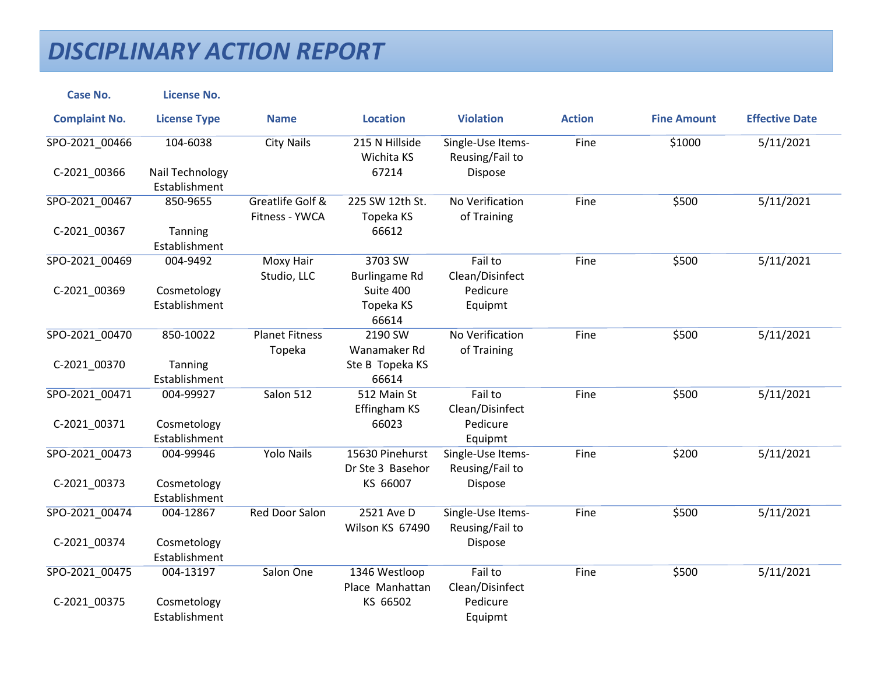| <b>Case No.</b>      | <b>License No.</b>               |                                    |                                     |                                      |               |                    |                       |
|----------------------|----------------------------------|------------------------------------|-------------------------------------|--------------------------------------|---------------|--------------------|-----------------------|
| <b>Complaint No.</b> | <b>License Type</b>              | <b>Name</b>                        | <b>Location</b>                     | <b>Violation</b>                     | <b>Action</b> | <b>Fine Amount</b> | <b>Effective Date</b> |
| SPO-2021_00466       | 104-6038                         | <b>City Nails</b>                  | 215 N Hillside<br>Wichita KS        | Single-Use Items-<br>Reusing/Fail to | Fine          | \$1000             | 5/11/2021             |
| C-2021_00366         | Nail Technology<br>Establishment |                                    | 67214                               | Dispose                              |               |                    |                       |
| SPO-2021_00467       | 850-9655                         | Greatlife Golf &<br>Fitness - YWCA | 225 SW 12th St.<br>Topeka KS        | No Verification<br>of Training       | Fine          | \$500              | 5/11/2021             |
| C-2021_00367         | Tanning<br>Establishment         |                                    | 66612                               |                                      |               |                    |                       |
| SPO-2021_00469       | 004-9492                         | <b>Moxy Hair</b><br>Studio, LLC    | 3703 SW<br><b>Burlingame Rd</b>     | Fail to<br>Clean/Disinfect           | Fine          | \$500              | 5/11/2021             |
| C-2021_00369         | Cosmetology<br>Establishment     |                                    | Suite 400<br>Topeka KS<br>66614     | Pedicure<br>Equipmt                  |               |                    |                       |
| SPO-2021_00470       | 850-10022                        | <b>Planet Fitness</b><br>Topeka    | 2190 SW<br>Wanamaker Rd             | No Verification<br>of Training       | Fine          | \$500              | 5/11/2021             |
| C-2021_00370         | Tanning<br>Establishment         |                                    | Ste B Topeka KS<br>66614            |                                      |               |                    |                       |
| SPO-2021_00471       | 004-99927                        | Salon 512                          | 512 Main St<br>Effingham KS         | Fail to<br>Clean/Disinfect           | Fine          | \$500              | 5/11/2021             |
| C-2021_00371         | Cosmetology<br>Establishment     |                                    | 66023                               | Pedicure<br>Equipmt                  |               |                    |                       |
| SPO-2021 00473       | 004-99946                        | <b>Yolo Nails</b>                  | 15630 Pinehurst<br>Dr Ste 3 Basehor | Single-Use Items-<br>Reusing/Fail to | Fine          | \$200              | 5/11/2021             |
| C-2021_00373         | Cosmetology<br>Establishment     |                                    | KS 66007                            | Dispose                              |               |                    |                       |
| SPO-2021 00474       | 004-12867                        | Red Door Salon                     | 2521 Ave D<br>Wilson KS 67490       | Single-Use Items-<br>Reusing/Fail to | Fine          | \$500              | 5/11/2021             |
| C-2021 00374         | Cosmetology<br>Establishment     |                                    |                                     | Dispose                              |               |                    |                       |
| SPO-2021_00475       | 004-13197                        | Salon One                          | 1346 Westloop<br>Place Manhattan    | Fail to<br>Clean/Disinfect           | Fine          | \$500              | 5/11/2021             |
| C-2021_00375         | Cosmetology<br>Establishment     |                                    | KS 66502                            | Pedicure<br>Equipmt                  |               |                    |                       |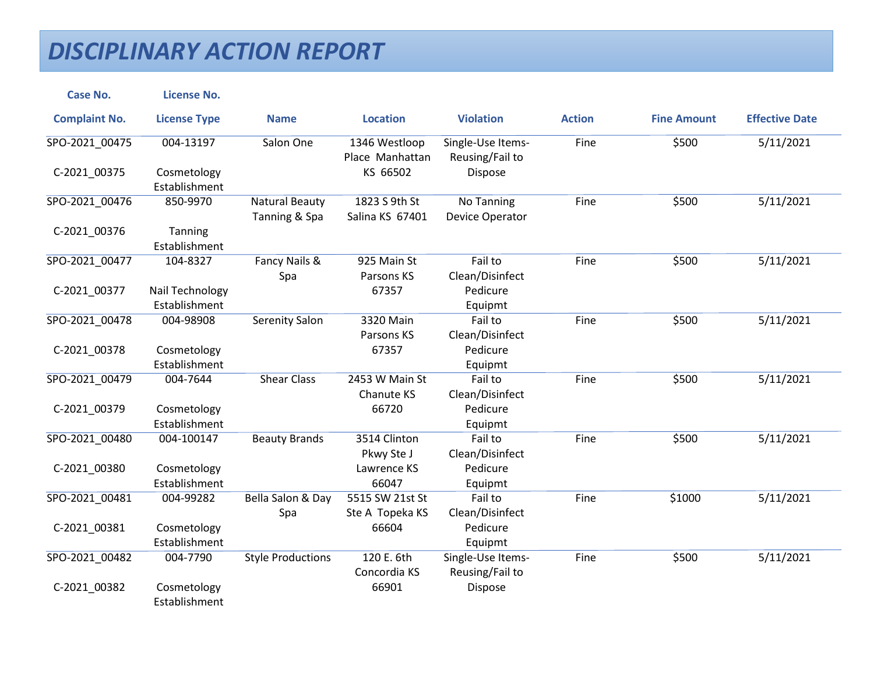| <b>Case No.</b>      | <b>License No.</b>               |                                        |                                    |                                      |               |                    |                       |
|----------------------|----------------------------------|----------------------------------------|------------------------------------|--------------------------------------|---------------|--------------------|-----------------------|
| <b>Complaint No.</b> | <b>License Type</b>              | <b>Name</b>                            | <b>Location</b>                    | <b>Violation</b>                     | <b>Action</b> | <b>Fine Amount</b> | <b>Effective Date</b> |
| SPO-2021_00475       | 004-13197                        | Salon One                              | 1346 Westloop<br>Place Manhattan   | Single-Use Items-<br>Reusing/Fail to | Fine          | \$500              | 5/11/2021             |
| C-2021 00375         | Cosmetology<br>Establishment     |                                        | KS 66502                           | Dispose                              |               |                    |                       |
| SPO-2021_00476       | 850-9970                         | <b>Natural Beauty</b><br>Tanning & Spa | 1823 S 9th St<br>Salina KS 67401   | No Tanning<br>Device Operator        | Fine          | \$500              | 5/11/2021             |
| C-2021_00376         | Tanning<br>Establishment         |                                        |                                    |                                      |               |                    |                       |
| SPO-2021_00477       | 104-8327                         | Fancy Nails &<br>Spa                   | 925 Main St<br>Parsons KS          | Fail to<br>Clean/Disinfect           | Fine          | \$500              | 5/11/2021             |
| C-2021_00377         | Nail Technology<br>Establishment |                                        | 67357                              | Pedicure<br>Equipmt                  |               |                    |                       |
| SPO-2021 00478       | 004-98908                        | <b>Serenity Salon</b>                  | 3320 Main<br>Parsons KS            | Fail to<br>Clean/Disinfect           | Fine          | \$500              | 5/11/2021             |
| C-2021_00378         | Cosmetology<br>Establishment     |                                        | 67357                              | Pedicure<br>Equipmt                  |               |                    |                       |
| SPO-2021 00479       | 004-7644                         | <b>Shear Class</b>                     | 2453 W Main St<br>Chanute KS       | Fail to<br>Clean/Disinfect           | Fine          | \$500              | 5/11/2021             |
| C-2021_00379         | Cosmetology<br>Establishment     |                                        | 66720                              | Pedicure<br>Equipmt                  |               |                    |                       |
| SPO-2021 00480       | 004-100147                       | <b>Beauty Brands</b>                   | 3514 Clinton<br>Pkwy Ste J         | Fail to<br>Clean/Disinfect           | Fine          | \$500              | 5/11/2021             |
| C-2021_00380         | Cosmetology<br>Establishment     |                                        | Lawrence KS<br>66047               | Pedicure<br>Equipmt                  |               |                    |                       |
| SPO-2021 00481       | 004-99282                        | Bella Salon & Day<br>Spa               | 5515 SW 21st St<br>Ste A Topeka KS | Fail to<br>Clean/Disinfect           | Fine          | \$1000             | 5/11/2021             |
| C-2021_00381         | Cosmetology<br>Establishment     |                                        | 66604                              | Pedicure<br>Equipmt                  |               |                    |                       |
| SPO-2021 00482       | 004-7790                         | <b>Style Productions</b>               | 120 E. 6th<br>Concordia KS         | Single-Use Items-<br>Reusing/Fail to | Fine          | \$500              | 5/11/2021             |
| C-2021_00382         | Cosmetology<br>Establishment     |                                        | 66901                              | Dispose                              |               |                    |                       |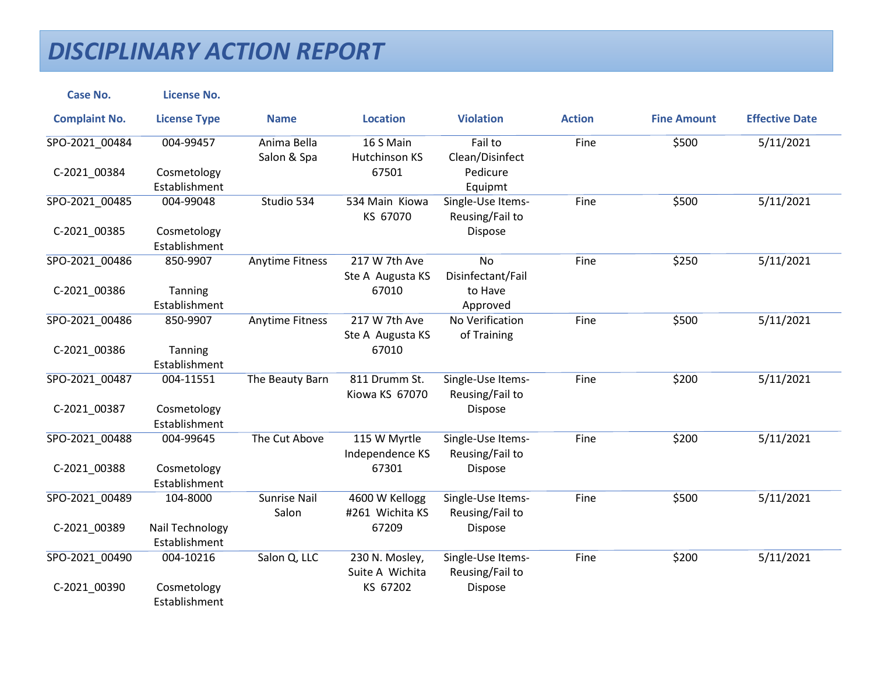| <b>Case No.</b>      | <b>License No.</b>               |                              |                                   |                                      |               |                    |                       |
|----------------------|----------------------------------|------------------------------|-----------------------------------|--------------------------------------|---------------|--------------------|-----------------------|
| <b>Complaint No.</b> | <b>License Type</b>              | <b>Name</b>                  | <b>Location</b>                   | <b>Violation</b>                     | <b>Action</b> | <b>Fine Amount</b> | <b>Effective Date</b> |
| SPO-2021_00484       | 004-99457                        | Anima Bella<br>Salon & Spa   | 16 S Main<br>Hutchinson KS        | Fail to<br>Clean/Disinfect           | Fine          | \$500              | 5/11/2021             |
| C-2021 00384         | Cosmetology<br>Establishment     |                              | 67501                             | Pedicure<br>Equipmt                  |               |                    |                       |
| SPO-2021 00485       | 004-99048                        | Studio 534                   | 534 Main Kiowa<br>KS 67070        | Single-Use Items-<br>Reusing/Fail to | Fine          | \$500              | 5/11/2021             |
| C-2021_00385         | Cosmetology<br>Establishment     |                              |                                   | Dispose                              |               |                    |                       |
| SPO-2021_00486       | 850-9907                         | <b>Anytime Fitness</b>       | 217 W 7th Ave<br>Ste A Augusta KS | <b>No</b><br>Disinfectant/Fail       | Fine          | \$250              | 5/11/2021             |
| C-2021_00386         | Tanning<br>Establishment         |                              | 67010                             | to Have<br>Approved                  |               |                    |                       |
| SPO-2021 00486       | 850-9907                         | <b>Anytime Fitness</b>       | 217 W 7th Ave<br>Ste A Augusta KS | No Verification<br>of Training       | Fine          | \$500              | 5/11/2021             |
| C-2021_00386         | Tanning<br>Establishment         |                              | 67010                             |                                      |               |                    |                       |
| SPO-2021_00487       | 004-11551                        | The Beauty Barn              | 811 Drumm St.<br>Kiowa KS 67070   | Single-Use Items-<br>Reusing/Fail to | Fine          | \$200              | 5/11/2021             |
| C-2021_00387         | Cosmetology<br>Establishment     |                              |                                   | Dispose                              |               |                    |                       |
| SPO-2021 00488       | 004-99645                        | The Cut Above                | 115 W Myrtle<br>Independence KS   | Single-Use Items-<br>Reusing/Fail to | Fine          | \$200              | 5/11/2021             |
| C-2021_00388         | Cosmetology<br>Establishment     |                              | 67301                             | Dispose                              |               |                    |                       |
| SPO-2021 00489       | 104-8000                         | <b>Sunrise Nail</b><br>Salon | 4600 W Kellogg<br>#261 Wichita KS | Single-Use Items-<br>Reusing/Fail to | Fine          | \$500              | 5/11/2021             |
| C-2021_00389         | Nail Technology<br>Establishment |                              | 67209                             | Dispose                              |               |                    |                       |
| SPO-2021 00490       | 004-10216                        | Salon Q, LLC                 | 230 N. Mosley,<br>Suite A Wichita | Single-Use Items-<br>Reusing/Fail to | Fine          | \$200              | 5/11/2021             |
| C-2021_00390         | Cosmetology<br>Establishment     |                              | KS 67202                          | Dispose                              |               |                    |                       |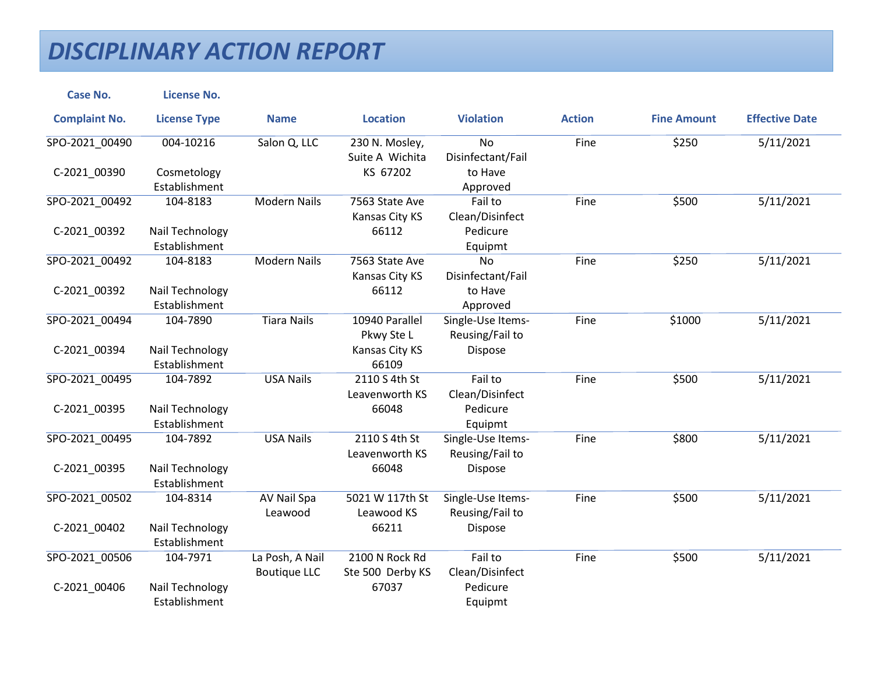| <b>Case No.</b>      | <b>License No.</b>  |                     |                  |                   |               |                    |                       |
|----------------------|---------------------|---------------------|------------------|-------------------|---------------|--------------------|-----------------------|
| <b>Complaint No.</b> | <b>License Type</b> | <b>Name</b>         | <b>Location</b>  | <b>Violation</b>  | <b>Action</b> | <b>Fine Amount</b> | <b>Effective Date</b> |
| SPO-2021_00490       | 004-10216           | Salon Q, LLC        | 230 N. Mosley,   | <b>No</b>         | Fine          | \$250              | 5/11/2021             |
|                      |                     |                     | Suite A Wichita  | Disinfectant/Fail |               |                    |                       |
| C-2021 00390         | Cosmetology         |                     | KS 67202         | to Have           |               |                    |                       |
|                      | Establishment       |                     |                  | Approved          |               |                    |                       |
| SPO-2021_00492       | 104-8183            | <b>Modern Nails</b> | 7563 State Ave   | Fail to           | Fine          | \$500              | 5/11/2021             |
|                      |                     |                     | Kansas City KS   | Clean/Disinfect   |               |                    |                       |
| C-2021_00392         | Nail Technology     |                     | 66112            | Pedicure          |               |                    |                       |
|                      | Establishment       |                     |                  | Equipmt           |               |                    |                       |
| SPO-2021_00492       | 104-8183            | <b>Modern Nails</b> | 7563 State Ave   | <b>No</b>         | Fine          | \$250              | 5/11/2021             |
|                      |                     |                     | Kansas City KS   | Disinfectant/Fail |               |                    |                       |
| C-2021_00392         | Nail Technology     |                     | 66112            | to Have           |               |                    |                       |
|                      | Establishment       |                     |                  | Approved          |               |                    |                       |
| SPO-2021 00494       | 104-7890            | <b>Tiara Nails</b>  | 10940 Parallel   | Single-Use Items- | Fine          | \$1000             | 5/11/2021             |
|                      |                     |                     | Pkwy Ste L       | Reusing/Fail to   |               |                    |                       |
| C-2021_00394         | Nail Technology     |                     | Kansas City KS   | Dispose           |               |                    |                       |
|                      | Establishment       |                     | 66109            |                   |               |                    |                       |
| SPO-2021 00495       | 104-7892            | <b>USA Nails</b>    | 2110 S 4th St    | Fail to           | Fine          | \$500              | 5/11/2021             |
|                      |                     |                     | Leavenworth KS   | Clean/Disinfect   |               |                    |                       |
| C-2021_00395         | Nail Technology     |                     | 66048            | Pedicure          |               |                    |                       |
|                      | Establishment       |                     |                  | Equipmt           |               |                    |                       |
| SPO-2021 00495       | 104-7892            | <b>USA Nails</b>    | 2110 S 4th St    | Single-Use Items- | Fine          | \$800              | 5/11/2021             |
|                      |                     |                     | Leavenworth KS   | Reusing/Fail to   |               |                    |                       |
| C-2021_00395         | Nail Technology     |                     | 66048            | Dispose           |               |                    |                       |
|                      | Establishment       |                     |                  |                   |               |                    |                       |
| SPO-2021 00502       | 104-8314            | AV Nail Spa         | 5021 W 117th St  | Single-Use Items- | Fine          | \$500              | 5/11/2021             |
|                      |                     | Leawood             | Leawood KS       | Reusing/Fail to   |               |                    |                       |
| C-2021_00402         | Nail Technology     |                     | 66211            | Dispose           |               |                    |                       |
|                      | Establishment       |                     |                  |                   |               |                    |                       |
| SPO-2021 00506       | 104-7971            | La Posh, A Nail     | 2100 N Rock Rd   | Fail to           | Fine          | \$500              | 5/11/2021             |
|                      |                     | <b>Boutique LLC</b> | Ste 500 Derby KS | Clean/Disinfect   |               |                    |                       |
| C-2021_00406         | Nail Technology     |                     | 67037            | Pedicure          |               |                    |                       |
|                      | Establishment       |                     |                  | Equipmt           |               |                    |                       |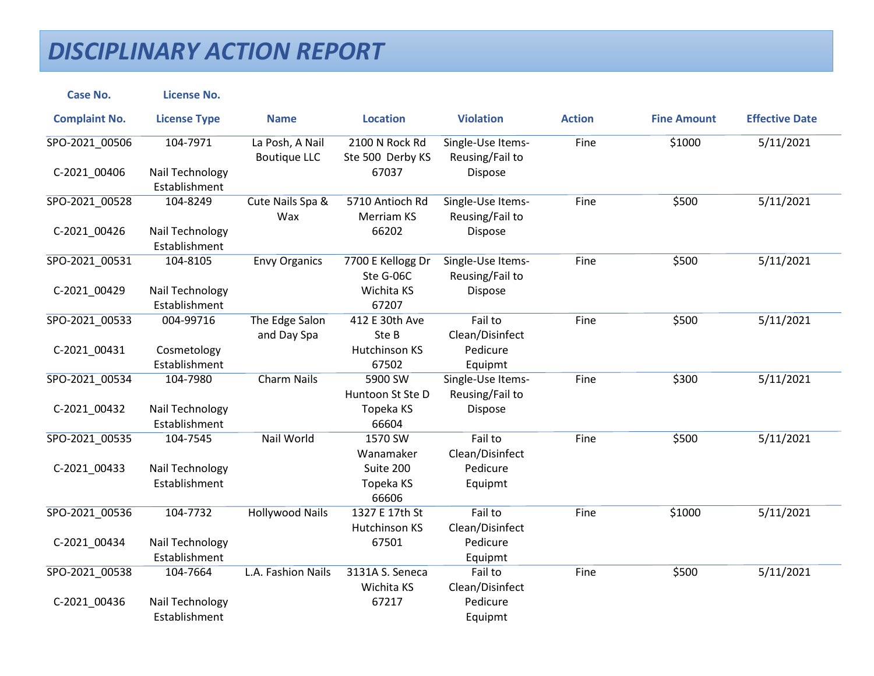| <b>Case No.</b>      | <b>License No.</b>               |                                        |                                    |                                      |               |                    |                       |
|----------------------|----------------------------------|----------------------------------------|------------------------------------|--------------------------------------|---------------|--------------------|-----------------------|
| <b>Complaint No.</b> | <b>License Type</b>              | <b>Name</b>                            | <b>Location</b>                    | <b>Violation</b>                     | <b>Action</b> | <b>Fine Amount</b> | <b>Effective Date</b> |
| SPO-2021_00506       | 104-7971                         | La Posh, A Nail<br><b>Boutique LLC</b> | 2100 N Rock Rd<br>Ste 500 Derby KS | Single-Use Items-<br>Reusing/Fail to | Fine          | \$1000             | 5/11/2021             |
| C-2021_00406         | Nail Technology<br>Establishment |                                        | 67037                              | Dispose                              |               |                    |                       |
| SPO-2021_00528       | 104-8249                         | Cute Nails Spa &<br>Wax                | 5710 Antioch Rd<br>Merriam KS      | Single-Use Items-<br>Reusing/Fail to | Fine          | \$500              | 5/11/2021             |
| C-2021_00426         | Nail Technology<br>Establishment |                                        | 66202                              | Dispose                              |               |                    |                       |
| SPO-2021_00531       | 104-8105                         | <b>Envy Organics</b>                   | 7700 E Kellogg Dr<br>Ste G-06C     | Single-Use Items-<br>Reusing/Fail to | Fine          | \$500              | 5/11/2021             |
| C-2021_00429         | Nail Technology<br>Establishment |                                        | Wichita KS<br>67207                | Dispose                              |               |                    |                       |
| SPO-2021 00533       | 004-99716                        | The Edge Salon<br>and Day Spa          | 412 E 30th Ave<br>Ste B            | Fail to<br>Clean/Disinfect           | Fine          | \$500              | 5/11/2021             |
| C-2021_00431         | Cosmetology<br>Establishment     |                                        | <b>Hutchinson KS</b><br>67502      | Pedicure<br>Equipmt                  |               |                    |                       |
| SPO-2021 00534       | 104-7980                         | <b>Charm Nails</b>                     | 5900 SW<br>Huntoon St Ste D        | Single-Use Items-<br>Reusing/Fail to | Fine          | \$300              | 5/11/2021             |
| C-2021_00432         | Nail Technology<br>Establishment |                                        | Topeka KS<br>66604                 | Dispose                              |               |                    |                       |
| SPO-2021_00535       | 104-7545                         | Nail World                             | 1570 SW<br>Wanamaker               | Fail to<br>Clean/Disinfect           | Fine          | \$500              | 5/11/2021             |
| C-2021_00433         | Nail Technology<br>Establishment |                                        | Suite 200<br>Topeka KS<br>66606    | Pedicure<br>Equipmt                  |               |                    |                       |
| SPO-2021 00536       | 104-7732                         | <b>Hollywood Nails</b>                 | 1327 E 17th St<br>Hutchinson KS    | Fail to<br>Clean/Disinfect           | Fine          | \$1000             | 5/11/2021             |
| C-2021 00434         | Nail Technology<br>Establishment |                                        | 67501                              | Pedicure<br>Equipmt                  |               |                    |                       |
| SPO-2021_00538       | 104-7664                         | L.A. Fashion Nails                     | 3131A S. Seneca<br>Wichita KS      | Fail to<br>Clean/Disinfect           | Fine          | \$500              | 5/11/2021             |
| C-2021_00436         | Nail Technology<br>Establishment |                                        | 67217                              | Pedicure<br>Equipmt                  |               |                    |                       |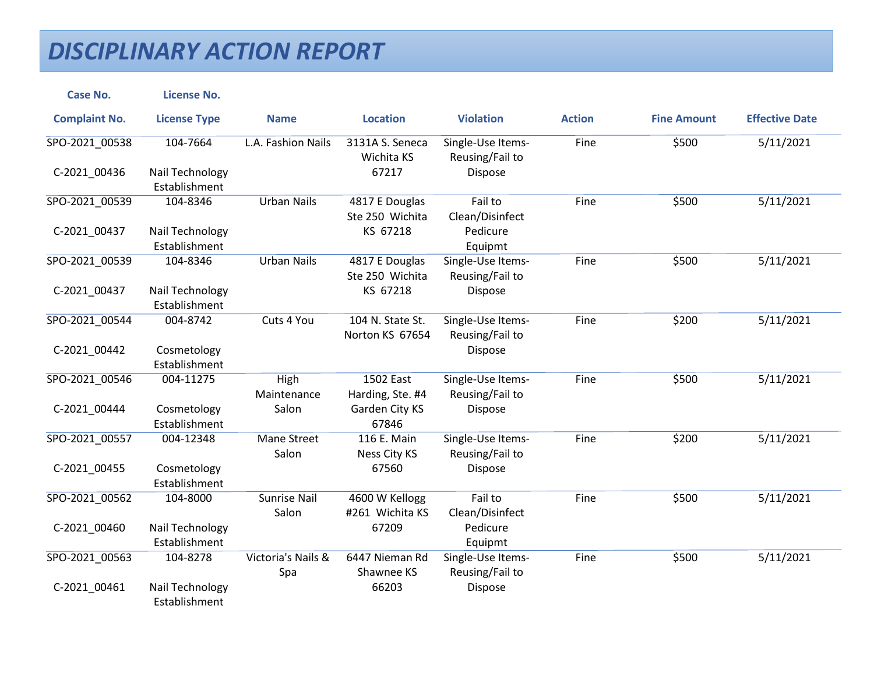| <b>Case No.</b>      | <b>License No.</b>               |                              |                                     |                                      |               |                    |                       |
|----------------------|----------------------------------|------------------------------|-------------------------------------|--------------------------------------|---------------|--------------------|-----------------------|
| <b>Complaint No.</b> | <b>License Type</b>              | <b>Name</b>                  | <b>Location</b>                     | <b>Violation</b>                     | <b>Action</b> | <b>Fine Amount</b> | <b>Effective Date</b> |
| SPO-2021_00538       | 104-7664                         | L.A. Fashion Nails           | 3131A S. Seneca<br>Wichita KS       | Single-Use Items-<br>Reusing/Fail to | Fine          | \$500              | 5/11/2021             |
| C-2021 00436         | Nail Technology<br>Establishment |                              | 67217                               | Dispose                              |               |                    |                       |
| SPO-2021_00539       | 104-8346                         | <b>Urban Nails</b>           | 4817 E Douglas<br>Ste 250 Wichita   | Fail to<br>Clean/Disinfect           | Fine          | \$500              | 5/11/2021             |
| C-2021_00437         | Nail Technology<br>Establishment |                              | KS 67218                            | Pedicure<br>Equipmt                  |               |                    |                       |
| SPO-2021_00539       | 104-8346                         | <b>Urban Nails</b>           | 4817 E Douglas<br>Ste 250 Wichita   | Single-Use Items-<br>Reusing/Fail to | Fine          | \$500              | 5/11/2021             |
| C-2021_00437         | Nail Technology<br>Establishment |                              | KS 67218                            | Dispose                              |               |                    |                       |
| SPO-2021_00544       | 004-8742                         | Cuts 4 You                   | 104 N. State St.<br>Norton KS 67654 | Single-Use Items-<br>Reusing/Fail to | Fine          | \$200              | 5/11/2021             |
| C-2021_00442         | Cosmetology<br>Establishment     |                              |                                     | Dispose                              |               |                    |                       |
| SPO-2021 00546       | 004-11275                        | <b>High</b><br>Maintenance   | 1502 East<br>Harding, Ste. #4       | Single-Use Items-<br>Reusing/Fail to | Fine          | \$500              | 5/11/2021             |
| C-2021_00444         | Cosmetology<br>Establishment     | Salon                        | Garden City KS<br>67846             | Dispose                              |               |                    |                       |
| SPO-2021 00557       | 004-12348                        | Mane Street<br>Salon         | 116 E. Main<br>Ness City KS         | Single-Use Items-<br>Reusing/Fail to | Fine          | \$200              | 5/11/2021             |
| C-2021_00455         | Cosmetology<br>Establishment     |                              | 67560                               | Dispose                              |               |                    |                       |
| SPO-2021_00562       | 104-8000                         | <b>Sunrise Nail</b><br>Salon | 4600 W Kellogg<br>#261 Wichita KS   | Fail to<br>Clean/Disinfect           | Fine          | \$500              | 5/11/2021             |
| C-2021_00460         | Nail Technology<br>Establishment |                              | 67209                               | Pedicure<br>Equipmt                  |               |                    |                       |
| SPO-2021 00563       | 104-8278                         | Victoria's Nails &<br>Spa    | 6447 Nieman Rd<br>Shawnee KS        | Single-Use Items-<br>Reusing/Fail to | Fine          | \$500              | 5/11/2021             |
| C-2021_00461         | Nail Technology<br>Establishment |                              | 66203                               | Dispose                              |               |                    |                       |